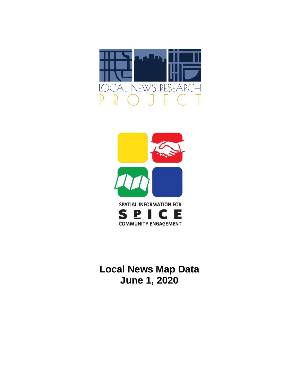



**Local News Map Data June 1, 2020**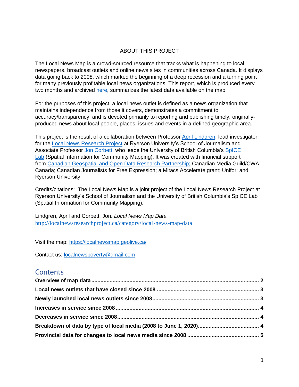### ABOUT THIS PROJECT

The Local News Map is a crowd-sourced resource that tracks what is happening to local newspapers, broadcast outlets and online news sites in communities across Canada. It displays data going back to 2008, which marked the beginning of a deep recession and a turning point for many previously profitable local news organizations. This report, which is produced every two months and archived [here,](http://localnewsresearchproject.ca/category/local-news-map-data) summarizes the latest data available on the map.

For the purposes of this project, a local news outlet is defined as a news organization that maintains independence from those it covers, demonstrates a commitment to accuracy/transparency, and is devoted primarily to reporting and publishing timely, originallyproduced news about local people, places, issues and events in a defined geographic area.

This project is the result of a collaboration between Professor [April Lindgren,](http://rsj.journalism.ryerson.ca/team/april-lindgren/) lead investigator for the [Local News Research Project](http://localnewsresearchproject.ca/) at Ryerson University's School of Journalism and Associate Professor [Jon Corbett,](http://joncorbett.com/JonCorbett/Home.html) who leads the University of British Columbia's SpICE [Lab](http://spice.geolive.ca/) (Spatial Information for Community Mapping). It was created with financial support from [Canadian Geospatial and Open Data Research Partnership;](http://geothink.ca/) Canadian Media Guild/CWA Canada; Canadian Journalists for Free Expression; a Mitacs Accelerate grant; Unifor; and Ryerson University.

Credits/citations: The Local News Map is a joint project of the Local News Research Project at Ryerson University's School of Journalism and the University of British Columbia's SpICE Lab (Spatial Information for Community Mapping).

Lindgren, April and Corbett, Jon. *Local News Map Data.*  <http://localnewsresearchproject.ca/category/local-news-map-data>

Visit the map:<https://localnewsmap.geolive.ca/>

Contact us: [localnewspoverty@gmail.com](mailto:localnewspoverty@gmail.com)

## **Contents**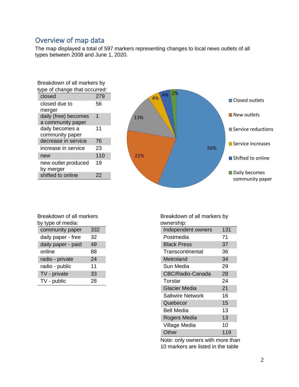# <span id="page-2-0"></span>Overview of map data

The map displayed a total of 597 markers representing changes to local news outlets of all types between 2008 and June 1, 2020.

| Breakdown of all markers by   |     |  |  |
|-------------------------------|-----|--|--|
| type of change that occurred: |     |  |  |
| closed                        | 279 |  |  |
| closed due to                 | 56  |  |  |
| merger                        |     |  |  |
| daily (free) becomes          | 1   |  |  |
| a community paper             |     |  |  |
| daily becomes a               | 11  |  |  |
| community paper               |     |  |  |
| decrease in service           | 76  |  |  |
| increase in service           | 23  |  |  |
| new                           | 110 |  |  |
| new outlet produced           | 19  |  |  |
| by merger                     |     |  |  |
| shifted to online             | 22  |  |  |



| Breakdown of all markers |
|--------------------------|
| by type of media:        |

| community paper    | 332 |
|--------------------|-----|
| daily paper - free | 32  |
| daily paper - paid | 49  |
| online             | 88  |
| radio - private    | 24  |
| radio - public     | 11  |
| TV - private       | 33  |
| TV - public        | 28  |
|                    |     |

Breakdown of all markers by ownership:

| uwuuunu                 |     |
|-------------------------|-----|
| Independent owners      | 131 |
| Postmedia               | 71  |
| <b>Black Press</b>      | 37  |
| Transcontinental        | 36  |
| Metroland               | 34  |
| Sun Media               | 29  |
| CBC/Radio-Canada        | 28  |
| Torstar                 | 24  |
| <b>Glacier Media</b>    | 21  |
| <b>Saltwire Network</b> | 16  |
| Quebecor                | 15  |
| Bell Media              | 13  |
| Rogers Media            | 13  |
| Village Media           | 10  |
| Other                   | 119 |

Note: only owners with more than 10 markers are listed in the table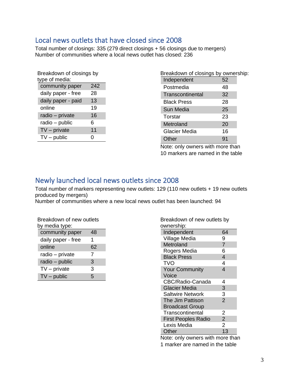## <span id="page-3-0"></span>Local news outlets that have closed since 2008

Total number of closings: 335 (279 direct closings + 56 closings due to mergers) Number of communities where a local news outlet has closed: 236

| Breakdown of closings by<br>type of media: |     |  |  |
|--------------------------------------------|-----|--|--|
| community paper                            | 242 |  |  |
| daily paper - free                         | 28  |  |  |
| daily paper - paid                         | 13  |  |  |
| online                                     | 19  |  |  |
| radio - private                            | 16  |  |  |
| radio - public                             | 6   |  |  |
| $TV$ – private                             | 11  |  |  |
| $TV$ – public                              | 0   |  |  |

| Breakdown of closings by ownership: |    |  |
|-------------------------------------|----|--|
| Independent                         | 52 |  |
| Postmedia                           | 48 |  |
| Transcontinental                    | 32 |  |
| Black Press                         | 28 |  |
| Sun Media                           | 25 |  |
| Torstar                             | 23 |  |
| Metroland                           | 20 |  |
| Glacier Media                       | 16 |  |
| Other                               | 91 |  |

Note: only owners with more than 10 markers are named in the table

## <span id="page-3-1"></span>Newly launched local news outlets since 2008

Total number of markers representing new outlets: 129 (110 new outlets + 19 new outlets produced by mergers)

Number of communities where a new local news outlet has been launched: 94

| Breakdown of new outlets<br>by media type: |    |  |  |
|--------------------------------------------|----|--|--|
| community paper                            | 48 |  |  |
| daily paper - free                         | 1  |  |  |
| online                                     | 62 |  |  |
| radio - private                            | 7  |  |  |
| radio - public                             | 3  |  |  |
| $TV$ – private                             | 3  |  |  |
| $TV$ – public                              | 5  |  |  |

| Breakdown of new outlets by<br>ownership: |                |  |  |
|-------------------------------------------|----------------|--|--|
| Independent                               | 64             |  |  |
| Village Media                             | 9              |  |  |
| Metroland                                 | $\overline{7}$ |  |  |
| Rogers Media                              | 6              |  |  |
| <b>Black Press</b>                        | $\overline{4}$ |  |  |
| TVO                                       | 4              |  |  |
| <b>Your Community</b>                     | 4              |  |  |
| Voice                                     |                |  |  |
| CBC/Radio-Canada                          | 4              |  |  |
| <b>Glacier Media</b>                      | 3              |  |  |
| <b>Saltwire Network</b>                   | $\frac{3}{2}$  |  |  |
| The Jim Pattison                          |                |  |  |
| <b>Broadcast Group</b>                    |                |  |  |
| Transcontinental                          | 2              |  |  |
| <b>First Peoples Radio</b>                | $\overline{2}$ |  |  |
| Lexis Media                               | $\overline{2}$ |  |  |
| Other                                     | 13             |  |  |
| 34 I.<br>المتحافظ المتحلة                 | 1 I.           |  |  |

Note: only owners with more than 1 marker are named in the table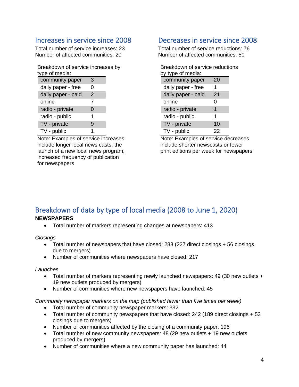## <span id="page-4-0"></span>Increases in service since 2008

Total number of service increases: 23 Number of affected communities: 20

Breakdown of service increases by type of media:

| community paper    | 3 |  |
|--------------------|---|--|
| daily paper - free | O |  |
| daily paper - paid | 2 |  |
| online             | 7 |  |
| radio - private    | 0 |  |
| radio - public     | 1 |  |
| TV - private       | g |  |
| TV - public        | 1 |  |

Note: Examples of service increases include longer local news casts, the launch of a new local news program, increased frequency of publication for newspapers

## <span id="page-4-1"></span>Decreases in service since 2008

Total number of service reductions: 76 Number of affected communities: 50

| Breakdown of service reductions |    |  |  |
|---------------------------------|----|--|--|
| by type of media:               |    |  |  |
| community paper                 | 20 |  |  |
| daily paper - free              | 1  |  |  |
| daily paper - paid              | 21 |  |  |
| online                          | 0  |  |  |
| radio - private                 | 1  |  |  |
| radio - public                  | 1  |  |  |
| TV - private                    | 10 |  |  |
| TV - public                     | 22 |  |  |

Note: Examples of service decreases include shorter newscasts or fewer print editions per week for newspapers

# <span id="page-4-2"></span>Breakdown of data by type of local media (2008 to June 1, 2020)

## **NEWSPAPERS**

• Total number of markers representing changes at newspapers: 413

*Closings*

- Total number of newspapers that have closed: 283 (227 direct closings + 56 closings due to mergers)
- Number of communities where newspapers have closed: 217

#### *Launches*

- Total number of markers representing newly launched newspapers: 49 (30 new outlets + 19 new outlets produced by mergers)
- Number of communities where new newspapers have launched: 45

*Community newspaper markers on the map (published fewer than five times per week)* 

- Total number of community newspaper markers: 332
- Total number of community newspapers that have closed: 242 (189 direct closings + 53 closings due to mergers)
- Number of communities affected by the closing of a community paper: 196
- Total number of new community newspapers: 48 (29 new outlets + 19 new outlets produced by mergers)
- Number of communities where a new community paper has launched: 44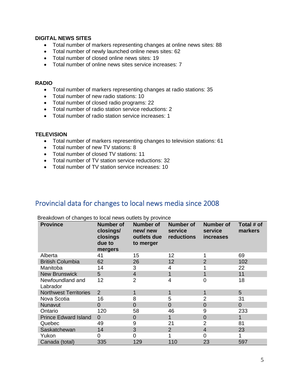#### **DIGITAL NEWS SITES**

- Total number of markers representing changes at online news sites: 88
- Total number of newly launched online news sites: 62
- Total number of closed online news sites: 19
- Total number of online news sites service increases: 7

#### **RADIO**

- Total number of markers representing changes at radio stations: 35
- Total number of new radio stations: 10
- Total number of closed radio programs: 22
- Total number of radio station service reductions: 2
- Total number of radio station service increases: 1

#### **TELEVISION**

- Total number of markers representing changes to television stations: 61
- Total number of new TV stations: 8
- Total number of closed TV stations: 11
- Total number of TV station service reductions: 32
- Total number of TV station service increases: 10

## <span id="page-5-0"></span>Provincial data for changes to local news media since 2008

| <b>Province</b>              | <b>Number of</b><br>closings/<br>closings<br>due to<br>mergers | <b>Number of</b><br>new/new<br>outlets due<br>to merger | <b>Number of</b><br>service<br>reductions | <b>Number of</b><br>service<br><i>increases</i> | Total # of<br>markers |
|------------------------------|----------------------------------------------------------------|---------------------------------------------------------|-------------------------------------------|-------------------------------------------------|-----------------------|
| Alberta                      | 41                                                             | 15                                                      | 12                                        |                                                 | 69                    |
| <b>British Columbia</b>      | 62                                                             | 26                                                      | 12                                        | $\overline{2}$                                  | 102                   |
| Manitoba                     | 14                                                             | 3                                                       | 4                                         |                                                 | 22                    |
| <b>New Brunswick</b>         | 5                                                              | $\overline{4}$                                          |                                           | 1                                               | 11                    |
| Newfoundland and<br>Labrador | 12                                                             | $\overline{2}$                                          | 4                                         | 0                                               | 18                    |
| <b>Northwest Territories</b> | 2                                                              | 1                                                       |                                           | 1                                               | 5                     |
| Nova Scotia                  | 16                                                             | 8                                                       | 5                                         | $\overline{2}$                                  | 31                    |
| Nunavut                      | $\Omega$                                                       | 0                                                       | 0                                         | $\overline{0}$                                  | $\overline{0}$        |
| Ontario                      | 120                                                            | 58                                                      | 46                                        | 9                                               | 233                   |
| <b>Prince Edward Island</b>  | $\Omega$                                                       | 0                                                       |                                           | $\overline{0}$                                  | 1                     |
| Quebec                       | 49                                                             | 9                                                       | 21                                        | $\overline{2}$                                  | 81                    |
| Saskatchewan                 | 14                                                             | 3                                                       | 2                                         | $\overline{4}$                                  | 23                    |
| Yukon                        | 0                                                              | 0                                                       |                                           | 0                                               |                       |
| Canada (total)               | 335                                                            | 129                                                     | 110                                       | 23                                              | 597                   |

Breakdown of changes to local news outlets by province